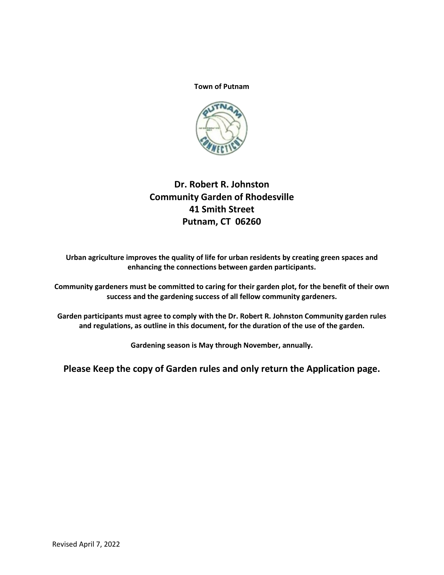#### **Town of Putnam**



# **Dr. Robert R. Johnston Community Garden of Rhodesville 41 Smith Street Putnam, CT 06260**

**Urban agriculture improves the quality of life for urban residents by creating green spaces and enhancing the connections between garden participants.**

**Community gardeners must be committed to caring for their garden plot, for the benefit of their own success and the gardening success of all fellow community gardeners.**

**Garden participants must agree to comply with the Dr. Robert R. Johnston Community garden rules and regulations, as outline in this document, for the duration of the use of the garden.**

**Gardening season is May through November, annually.**

**Please Keep the copy of Garden rules and only return the Application page.**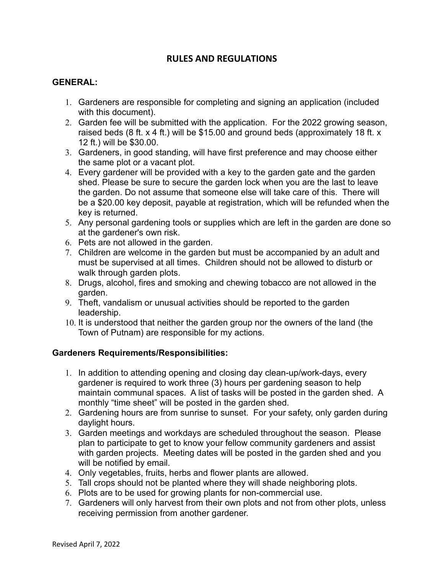# **RULES AND REGULATIONS**

# **GENERAL:**

- 1. Gardeners are responsible for completing and signing an application (included with this document).
- 2. Garden fee will be submitted with the application. For the 2022 growing season, raised beds (8 ft. x 4 ft.) will be \$15.00 and ground beds (approximately 18 ft. x 12 ft.) will be \$30.00.
- 3. Gardeners, in good standing, will have first preference and may choose either the same plot or a vacant plot.
- 4. Every gardener will be provided with a key to the garden gate and the garden shed. Please be sure to secure the garden lock when you are the last to leave the garden. Do not assume that someone else will take care of this. There will be a \$20.00 key deposit, payable at registration, which will be refunded when the key is returned.
- 5. Any personal gardening tools or supplies which are left in the garden are done so at the gardener's own risk.
- 6. Pets are not allowed in the garden.
- 7. Children are welcome in the garden but must be accompanied by an adult and must be supervised at all times. Children should not be allowed to disturb or walk through garden plots.
- 8. Drugs, alcohol, fires and smoking and chewing tobacco are not allowed in the garden.
- 9. Theft, vandalism or unusual activities should be reported to the garden leadership.
- 10. It is understood that neither the garden group nor the owners of the land (the Town of Putnam) are responsible for my actions.

## **Gardeners Requirements/Responsibilities:**

- 1. In addition to attending opening and closing day clean-up/work-days, every gardener is required to work three (3) hours per gardening season to help maintain communal spaces. A list of tasks will be posted in the garden shed. A monthly "time sheet" will be posted in the garden shed.
- 2. Gardening hours are from sunrise to sunset. For your safety, only garden during daylight hours.
- 3. Garden meetings and workdays are scheduled throughout the season. Please plan to participate to get to know your fellow community gardeners and assist with garden projects. Meeting dates will be posted in the garden shed and you will be notified by email.
- 4. Only vegetables, fruits, herbs and flower plants are allowed.
- 5. Tall crops should not be planted where they will shade neighboring plots.
- 6. Plots are to be used for growing plants for non-commercial use.
- 7. Gardeners will only harvest from their own plots and not from other plots, unless receiving permission from another gardener.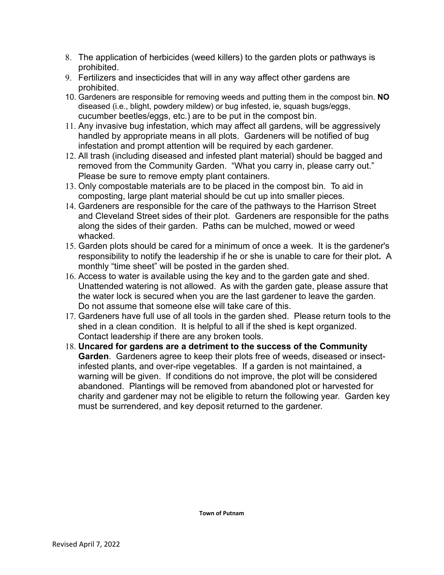- 8. The application of herbicides (weed killers) to the garden plots or pathways is prohibited.
- 9. Fertilizers and insecticides that will in any way affect other gardens are prohibited.
- 10. Gardeners are responsible for removing weeds and putting them in the compost bin. **NO**  diseased (i.e., blight, powdery mildew) or bug infested, ie, squash bugs/eggs, cucumber beetles/eggs, etc.) are to be put in the compost bin.
- 11. Any invasive bug infestation, which may affect all gardens, will be aggressively handled by appropriate means in all plots. Gardeners will be notified of bug infestation and prompt attention will be required by each gardener.
- 12. All trash (including diseased and infested plant material) should be bagged and removed from the Community Garden. "What you carry in, please carry out." Please be sure to remove empty plant containers.
- 13. Only compostable materials are to be placed in the compost bin. To aid in composting, large plant material should be cut up into smaller pieces.
- 14. Gardeners are responsible for the care of the pathways to the Harrison Street and Cleveland Street sides of their plot. Gardeners are responsible for the paths along the sides of their garden. Paths can be mulched, mowed or weed whacked.
- 15. Garden plots should be cared for a minimum of once a week. It is the gardener's responsibility to notify the leadership if he or she is unable to care for their plot**.** A monthly "time sheet" will be posted in the garden shed.
- 16. Access to water is available using the key and to the garden gate and shed. Unattended watering is not allowed. As with the garden gate, please assure that the water lock is secured when you are the last gardener to leave the garden. Do not assume that someone else will take care of this.
- 17. Gardeners have full use of all tools in the garden shed. Please return tools to the shed in a clean condition. It is helpful to all if the shed is kept organized. Contact leadership if there are any broken tools.
- 18. **Uncared for gardens are a detriment to the success of the Community Garden**. Gardeners agree to keep their plots free of weeds, diseased or insectinfested plants, and over-ripe vegetables. If a garden is not maintained, a warning will be given. If conditions do not improve, the plot will be considered abandoned. Plantings will be removed from abandoned plot or harvested for charity and gardener may not be eligible to return the following year. Garden key must be surrendered, and key deposit returned to the gardener.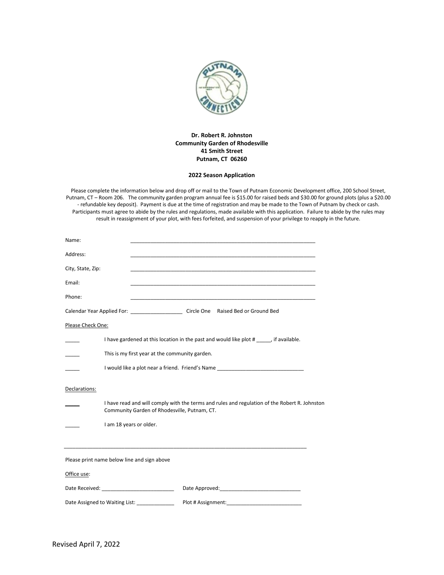

#### **Dr. Robert R. Johnston Community Garden of Rhodesville 41 Smith Street Putnam, CT 06260**

#### **2022 Season Application**

Please complete the information below and drop off or mail to the Town of Putnam Economic Development office, 200 School Street, Putnam, CT – Room 206. The community garden program annual fee is \$15.00 for raised beds and \$30.00 for ground plots (plus a \$20.00 - refundable key deposit). Payment is due at the time of registration and may be made to the Town of Putnam by check or cash. Participants must agree to abide by the rules and regulations, made available with this application. Failure to abide by the rules may result in reassignment of your plot, with fees forfeited, and suspension of your privilege to reapply in the future.

| Name:             |                                                |                                                                                                                       |  |
|-------------------|------------------------------------------------|-----------------------------------------------------------------------------------------------------------------------|--|
| Address:          |                                                |                                                                                                                       |  |
| City, State, Zip: |                                                |                                                                                                                       |  |
| Email:            |                                                |                                                                                                                       |  |
| Phone:            |                                                | <u> 1989 - Johann John Stoff, deutscher Stoffen und der Stoffen und der Stoffen und der Stoffen und der Stoffen u</u> |  |
|                   |                                                | Calendar Year Applied For: Circle One Raised Bed or Ground Bed                                                        |  |
| Please Check One: |                                                |                                                                                                                       |  |
|                   |                                                | I have gardened at this location in the past and would like plot #, if available.                                     |  |
|                   | This is my first year at the community garden. |                                                                                                                       |  |
|                   |                                                | I would like a plot near a friend. Friend's Name _______________________________                                      |  |
| Declarations:     |                                                |                                                                                                                       |  |
|                   | Community Garden of Rhodesville, Putnam, CT.   | I have read and will comply with the terms and rules and regulation of the Robert R. Johnston                         |  |
|                   | I am 18 years or older.                        |                                                                                                                       |  |
|                   |                                                |                                                                                                                       |  |
|                   | Please print name below line and sign above    |                                                                                                                       |  |
| Office use:       |                                                |                                                                                                                       |  |
|                   |                                                |                                                                                                                       |  |
|                   | Date Assigned to Waiting List: ______________  | Plot # Assignment:                                                                                                    |  |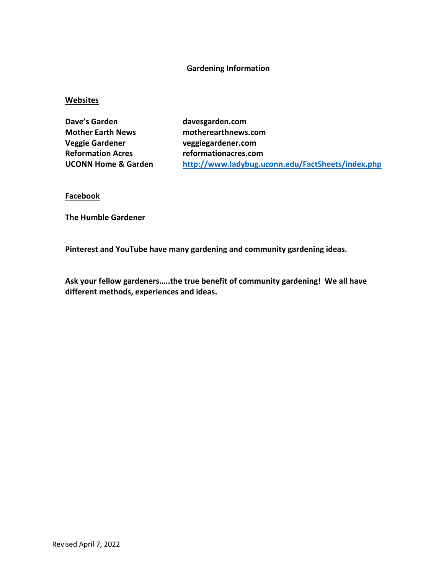### **Gardening Information**

### **Websites**

Dave's Garden **davesgarden.com Mother Earth News motherearthnews.com Veggie Gardener veggiegardener.com Reformation Acres reformationacres.com**

**UCONN Home & Garden <http://www.ladybug.uconn.edu/FactSheets/index.php>**

**Facebook**

**The Humble Gardener**

**Pinterest and YouTube have many gardening and community gardening ideas.**

**Ask your fellow gardeners…..the true benefit of community gardening! We all have different methods, experiences and ideas.**